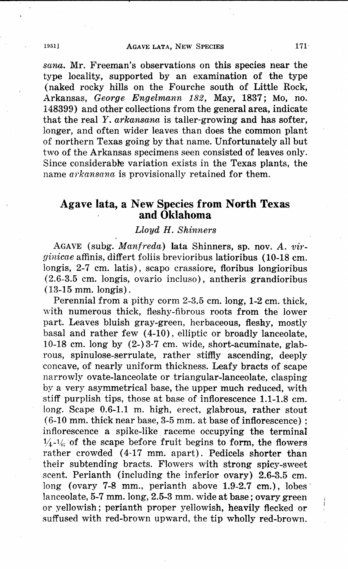*sana.* Mr. Freeman's observations on this species near the type locality, supported by an examination of the type (naked rocky hills on the Fourche south of Little Rock, Arkansas, *George Engelmann 182,* May, 1837; Mo, no. 148399) and other collections from the general area, indicate that the real *Y. arkansana* is taller-growing and has softer, longer, and often wider leaves than does the common plant of northern Texas going by that name. Unfortunately all but two of the Arkansas specimens seen consisted of leaves only. Since considerable variation exists in the Texas plants, the name *arkansana* is provisionally retained for them.

## **Agave lata, a New Species from North Texas and Oklahoma**

## *Lloyd H. Shinners*

AGAVE (subg. *Manfreda)* **lata** Shinners, sp. nov. A. *virginicae* affinis, differt foliis brevioribus latioribus (10-18 cm. longis, 2-7 cm. latis), scapo crassiore, floribus longioribus (2.6-3.5 cm. longis, ovario incluso), antheris grandioribus (13-15 mm. longis).

Perennial from a pithy corm 2-3.5 cm. long, 1-2 cm. thick, with numerous thick, fleshy-fibrous roots from the lower part. Leaves bluish gray-green, herbaceous, fleshy, mostly basal and rather few (4-10), elliptic or broadly lanceolate, 10-18 cm. long by  $(2-)3-7$  cm. wide, short-acuminate, glabrous, spinulose-serrulate, rather stiffly ascending, deeply concave, of nearly uniform thickness. Leafy bracts of scape narrowly ovate-lanceolate or triangular-lanceolate, clasping by a very asymmetrical base, the upper much reduced, with stiff purplish tips, those at base of inflorescence 1.1-1.8 cm. long. Scape 0.6-1.1 m. high, erect, glabrous, rather stout (6-10 mm. thick near base, 3-5 mm. at base of inflorescence) ; inflorescence a spike-like raceme occupying the terminal  $\frac{1}{4}$ - $\frac{1}{6}$  of the scape before fruit begins to form, the flowers rather crowded (4-17 mm. apart). Pedicels shorter than their subtending bracts. Flowers with strong spicy-sweet scent. Perianth (including the inferior ovary) 2.6-3.5 cm. long (ovary 7-8 mm., perianth above 1.9-2.7 cm.), lobes lanceolate, 5-7 mm. long, 2.5-3 mm. wide at base; ovary green or yelJowish ; perianth proper yellowish, heavily flecked or suffused with red-brown upward, the tip wholly red-brown.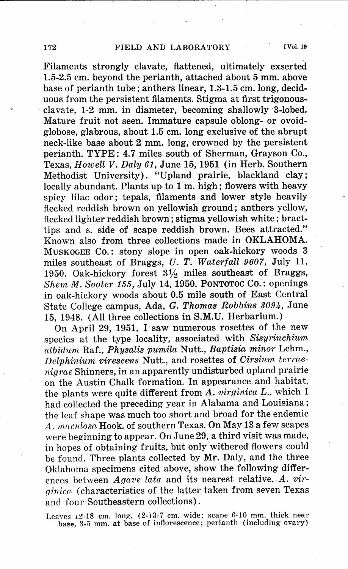Filaments strongly clavate, flattened, ultimately exserted 1.5-2.5 cm. beyond the perianth, attached about 5 mm. above base of perianth tube; arithers linear, 1.3-1.5 cm. long, deciduous from the persistent filaments. Stigma at first trigonous- . clavate, 1-2 mm. in diameter, becoming shallowly 3-lobed. Mature fruit not seen. Immature capsule oblong- or ovoid<sup>g</sup>lobose, glabrous, about 1.5 cm. long exclusive of the abrupt neck-like base about 2 mm. long, crowned by the persistent perianth. TYPE: 4.7 miles south of Sherman, Grayson Co., Texas, *Howell V. Daly 61,* June 15, 1951 (in Herb. Southern Methodist University). "Upland prairie, blackland clay; locally abundant. Plants up to 1 m. high; flowers with heavy spicy lilac odor; tepals, filaments and lower style heavily flecked reddish brown on yellowish ground; anthers yellow, flecked lighter reddish brown; stigma yellowish white; bracttips and s. side of scape reddish brown. Bees attracted." Known also from three collections made in OKLAHOMA. MUSKOGEE CO.: stony slope in open oak-hickory woods 3 miles southeast of Braggs, *U. T. Waterfall 9607,* July 11, 1950. Oak-hickory forest 3½ miles southeast of Braggs, *Shem* M. *Sooter* 155, July 14, 1950. PONTOTOC Co.: openings in oak-hickory woods about 0.5 mile south of East Central State College campus, Ada, G. *Thomas Robbins 3094,* June 15, 1948. (All three collections in S.M.U. Herbarium.)

On April 29, 1951, I saw numerous rosettes of the new species at the type locality, associated with *Sisyrinchium albidum* Raf., *Physalis pumila* Nutt., *Baptisia minor* Lehm., *Delphinium virescens* Nutt., and rosettes of *Cirsium terraenigrae* Shinners, in an apparently undisturbed upland prairie on the Austin Chalk formation. In appearance.and habitat, the plants were quite different from *A. virginica L.,* which I had collected the preceding year in Alabama and Louisiana; the leaf shape was much too short and broad for the endemic A. *mcrculosa* Hook. of southern Texas. On May 13 a few scapes were beginning to appear. On June 29, a third visit was made, in hopes of obtaining fruits, but only withered flowers could be found. Three plants collected by Mr. Daly, and the three Oklahoma specimens cited above, show the following differences between *Agave lata* and its nearest relative, *A. vir<sup>g</sup>iriica* ( characteristics of the latter taken from seven Texas and four Southeastern collections) .

Leaves  $1.2-18$  cm. long,  $(2-)3-7$  cm. wide; scape 6-10 mm. thick near base,  $3-5$  mm. at base of inflorescence; perianth (including ovary)